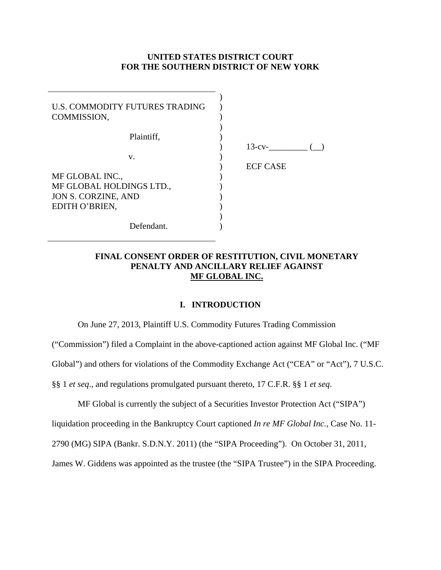### **UNITED STATES DISTRICT COURT FOR THE SOUTHERN DISTRICT OF NEW YORK**

| U.S. COMMODITY FUTURES TRADING<br>COMMISSION, |                 |
|-----------------------------------------------|-----------------|
| Plaintiff,                                    |                 |
|                                               | $13$ -cv-       |
| V.                                            |                 |
|                                               | <b>ECF CASE</b> |
| MF GLOBAL INC.,                               |                 |
| MF GLOBAL HOLDINGS LTD.,                      |                 |
| JON S. CORZINE, AND                           |                 |
| EDITH O'BRIEN,                                |                 |
|                                               |                 |
| Defendant.                                    |                 |

## **FINAL CONSENT ORDER OF RESTITUTION, CIVIL MONETARY PENALTY AND ANCILLARY RELIEF AGAINST MF GLOBAL INC.**

#### **I. INTRODUCTION**

On June 27, 2013, Plaintiff U.S. Commodity Futures Trading Commission

("Commission") filed a Complaint in the above-captioned action against MF Global Inc. ("MF

Global") and others for violations of the Commodity Exchange Act ("CEA" or "Act"), 7 U.S.C.

§§ 1 *et seq*., and regulations promulgated pursuant thereto, 17 C.F.R. §§ 1 *et seq*.

MF Global is currently the subject of a Securities Investor Protection Act ("SIPA") liquidation proceeding in the Bankruptcy Court captioned *In re MF Global Inc.*, Case No. 11- 2790 (MG) SIPA (Bankr. S.D.N.Y. 2011) (the "SIPA Proceeding"). On October 31, 2011, James W. Giddens was appointed as the trustee (the "SIPA Trustee") in the SIPA Proceeding.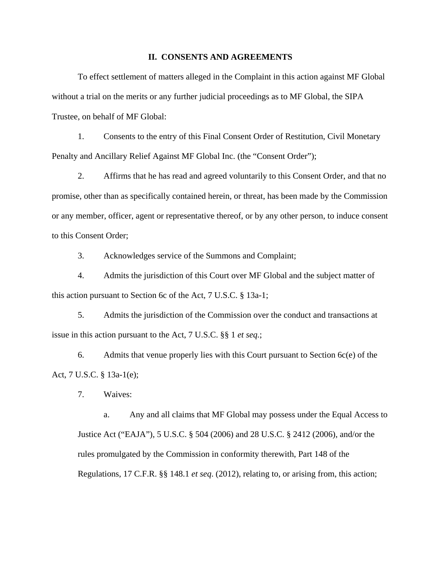#### **II. CONSENTS AND AGREEMENTS**

 To effect settlement of matters alleged in the Complaint in this action against MF Global without a trial on the merits or any further judicial proceedings as to MF Global, the SIPA Trustee, on behalf of MF Global:

1. Consents to the entry of this Final Consent Order of Restitution, Civil Monetary Penalty and Ancillary Relief Against MF Global Inc. (the "Consent Order");

2. Affirms that he has read and agreed voluntarily to this Consent Order, and that no promise, other than as specifically contained herein, or threat, has been made by the Commission or any member, officer, agent or representative thereof, or by any other person, to induce consent to this Consent Order;

3. Acknowledges service of the Summons and Complaint;

4. Admits the jurisdiction of this Court over MF Global and the subject matter of this action pursuant to Section 6c of the Act, 7 U.S.C. § 13a-1;

5. Admits the jurisdiction of the Commission over the conduct and transactions at issue in this action pursuant to the Act, 7 U.S.C. §§ 1 *et seq.*;

6. Admits that venue properly lies with this Court pursuant to Section 6c(e) of the Act, 7 U.S.C. § 13a-1(e);

7. Waives:

a. Any and all claims that MF Global may possess under the Equal Access to Justice Act ("EAJA"), 5 U.S.C. § 504 (2006) and 28 U.S.C. § 2412 (2006), and/or the rules promulgated by the Commission in conformity therewith, Part 148 of the Regulations, 17 C.F.R. §§ 148.1 *et seq*. (2012), relating to, or arising from, this action;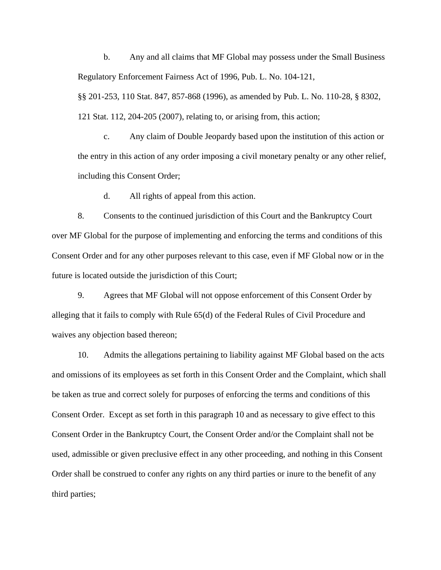b. Any and all claims that MF Global may possess under the Small Business Regulatory Enforcement Fairness Act of 1996, Pub. L. No. 104-121,

§§ 201-253, 110 Stat. 847, 857-868 (1996), as amended by Pub. L. No. 110-28, § 8302, 121 Stat. 112, 204-205 (2007), relating to, or arising from, this action;

c. Any claim of Double Jeopardy based upon the institution of this action or the entry in this action of any order imposing a civil monetary penalty or any other relief, including this Consent Order;

d. All rights of appeal from this action.

8. Consents to the continued jurisdiction of this Court and the Bankruptcy Court over MF Global for the purpose of implementing and enforcing the terms and conditions of this Consent Order and for any other purposes relevant to this case, even if MF Global now or in the future is located outside the jurisdiction of this Court;

9. Agrees that MF Global will not oppose enforcement of this Consent Order by alleging that it fails to comply with Rule 65(d) of the Federal Rules of Civil Procedure and waives any objection based thereon;

10. Admits the allegations pertaining to liability against MF Global based on the acts and omissions of its employees as set forth in this Consent Order and the Complaint, which shall be taken as true and correct solely for purposes of enforcing the terms and conditions of this Consent Order. Except as set forth in this paragraph 10 and as necessary to give effect to this Consent Order in the Bankruptcy Court, the Consent Order and/or the Complaint shall not be used, admissible or given preclusive effect in any other proceeding, and nothing in this Consent Order shall be construed to confer any rights on any third parties or inure to the benefit of any third parties;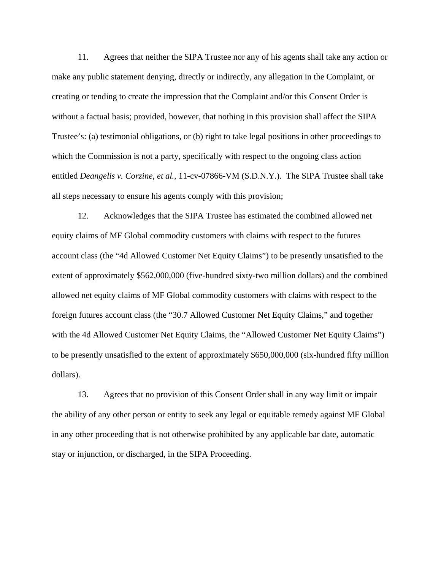11. Agrees that neither the SIPA Trustee nor any of his agents shall take any action or make any public statement denying, directly or indirectly, any allegation in the Complaint, or creating or tending to create the impression that the Complaint and/or this Consent Order is without a factual basis; provided, however, that nothing in this provision shall affect the SIPA Trustee's: (a) testimonial obligations, or (b) right to take legal positions in other proceedings to which the Commission is not a party, specifically with respect to the ongoing class action entitled *Deangelis v. Corzine, et al.*, 11-cv-07866-VM (S.D.N.Y.). The SIPA Trustee shall take all steps necessary to ensure his agents comply with this provision;

12. Acknowledges that the SIPA Trustee has estimated the combined allowed net equity claims of MF Global commodity customers with claims with respect to the futures account class (the "4d Allowed Customer Net Equity Claims") to be presently unsatisfied to the extent of approximately \$562,000,000 (five-hundred sixty-two million dollars) and the combined allowed net equity claims of MF Global commodity customers with claims with respect to the foreign futures account class (the "30.7 Allowed Customer Net Equity Claims," and together with the 4d Allowed Customer Net Equity Claims, the "Allowed Customer Net Equity Claims") to be presently unsatisfied to the extent of approximately \$650,000,000 (six-hundred fifty million dollars).

13. Agrees that no provision of this Consent Order shall in any way limit or impair the ability of any other person or entity to seek any legal or equitable remedy against MF Global in any other proceeding that is not otherwise prohibited by any applicable bar date, automatic stay or injunction, or discharged, in the SIPA Proceeding.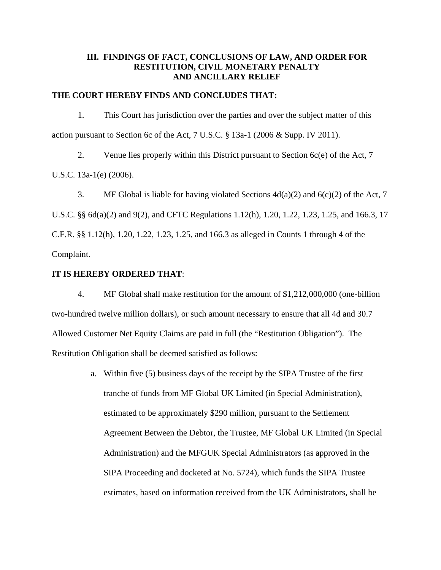## **III. FINDINGS OF FACT, CONCLUSIONS OF LAW, AND ORDER FOR RESTITUTION, CIVIL MONETARY PENALTY AND ANCILLARY RELIEF**

### **THE COURT HEREBY FINDS AND CONCLUDES THAT:**

1. This Court has jurisdiction over the parties and over the subject matter of this action pursuant to Section 6c of the Act, 7 U.S.C. § 13a-1 (2006 & Supp. IV 2011).

2. Venue lies properly within this District pursuant to Section 6c(e) of the Act, 7

U.S.C. 13a-1(e) (2006).

3. MF Global is liable for having violated Sections  $4d(a)(2)$  and  $6(c)(2)$  of the Act, 7

U.S.C. §§ 6d(a)(2) and 9(2), and CFTC Regulations 1.12(h), 1.20, 1.22, 1.23, 1.25, and 166.3, 17 C.F.R. §§ 1.12(h), 1.20, 1.22, 1.23, 1.25, and 166.3 as alleged in Counts 1 through 4 of the Complaint.

#### **IT IS HEREBY ORDERED THAT**:

4. MF Global shall make restitution for the amount of \$1,212,000,000 (one-billion two-hundred twelve million dollars), or such amount necessary to ensure that all 4d and 30.7 Allowed Customer Net Equity Claims are paid in full (the "Restitution Obligation"). The Restitution Obligation shall be deemed satisfied as follows:

> a. Within five (5) business days of the receipt by the SIPA Trustee of the first tranche of funds from MF Global UK Limited (in Special Administration), estimated to be approximately \$290 million, pursuant to the Settlement Agreement Between the Debtor, the Trustee, MF Global UK Limited (in Special Administration) and the MFGUK Special Administrators (as approved in the SIPA Proceeding and docketed at No. 5724), which funds the SIPA Trustee estimates, based on information received from the UK Administrators, shall be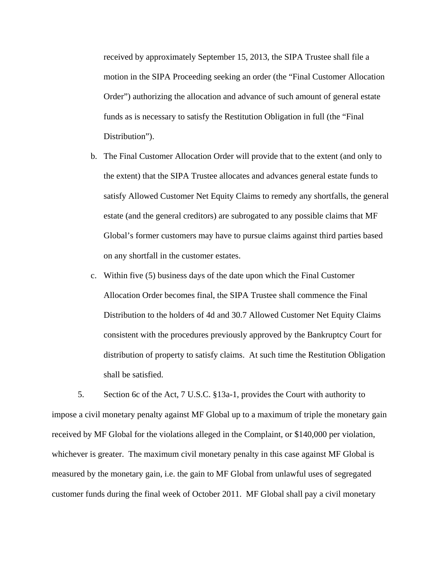received by approximately September 15, 2013, the SIPA Trustee shall file a motion in the SIPA Proceeding seeking an order (the "Final Customer Allocation Order") authorizing the allocation and advance of such amount of general estate funds as is necessary to satisfy the Restitution Obligation in full (the "Final Distribution").

- b. The Final Customer Allocation Order will provide that to the extent (and only to the extent) that the SIPA Trustee allocates and advances general estate funds to satisfy Allowed Customer Net Equity Claims to remedy any shortfalls, the general estate (and the general creditors) are subrogated to any possible claims that MF Global's former customers may have to pursue claims against third parties based on any shortfall in the customer estates.
- c. Within five (5) business days of the date upon which the Final Customer Allocation Order becomes final, the SIPA Trustee shall commence the Final Distribution to the holders of 4d and 30.7 Allowed Customer Net Equity Claims consistent with the procedures previously approved by the Bankruptcy Court for distribution of property to satisfy claims. At such time the Restitution Obligation shall be satisfied.

5. Section 6c of the Act, 7 U.S.C. §13a-1, provides the Court with authority to impose a civil monetary penalty against MF Global up to a maximum of triple the monetary gain received by MF Global for the violations alleged in the Complaint, or \$140,000 per violation, whichever is greater. The maximum civil monetary penalty in this case against MF Global is measured by the monetary gain, i.e. the gain to MF Global from unlawful uses of segregated customer funds during the final week of October 2011. MF Global shall pay a civil monetary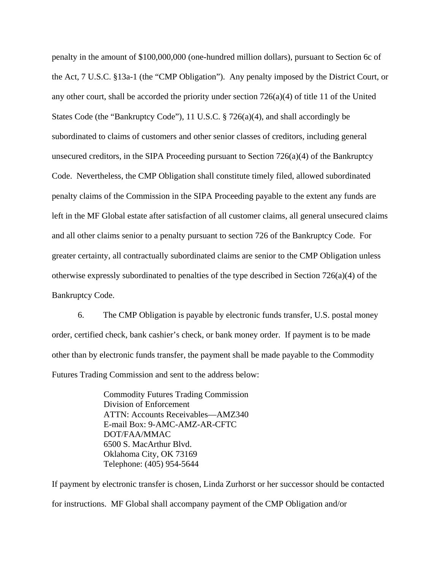penalty in the amount of \$100,000,000 (one-hundred million dollars), pursuant to Section 6c of the Act, 7 U.S.C. §13a-1 (the "CMP Obligation"). Any penalty imposed by the District Court, or any other court, shall be accorded the priority under section  $726(a)(4)$  of title 11 of the United States Code (the "Bankruptcy Code"), 11 U.S.C. § 726(a)(4), and shall accordingly be subordinated to claims of customers and other senior classes of creditors, including general unsecured creditors, in the SIPA Proceeding pursuant to Section 726(a)(4) of the Bankruptcy Code. Nevertheless, the CMP Obligation shall constitute timely filed, allowed subordinated penalty claims of the Commission in the SIPA Proceeding payable to the extent any funds are left in the MF Global estate after satisfaction of all customer claims, all general unsecured claims and all other claims senior to a penalty pursuant to section 726 of the Bankruptcy Code. For greater certainty, all contractually subordinated claims are senior to the CMP Obligation unless otherwise expressly subordinated to penalties of the type described in Section  $726(a)(4)$  of the Bankruptcy Code.

6. The CMP Obligation is payable by electronic funds transfer, U.S. postal money order, certified check, bank cashier's check, or bank money order. If payment is to be made other than by electronic funds transfer, the payment shall be made payable to the Commodity Futures Trading Commission and sent to the address below:

> Commodity Futures Trading Commission Division of Enforcement ATTN: Accounts Receivables—AMZ340 E-mail Box: 9-AMC-AMZ-AR-CFTC DOT/FAA/MMAC 6500 S. MacArthur Blvd. Oklahoma City, OK 73169 Telephone: (405) 954-5644

If payment by electronic transfer is chosen, Linda Zurhorst or her successor should be contacted for instructions. MF Global shall accompany payment of the CMP Obligation and/or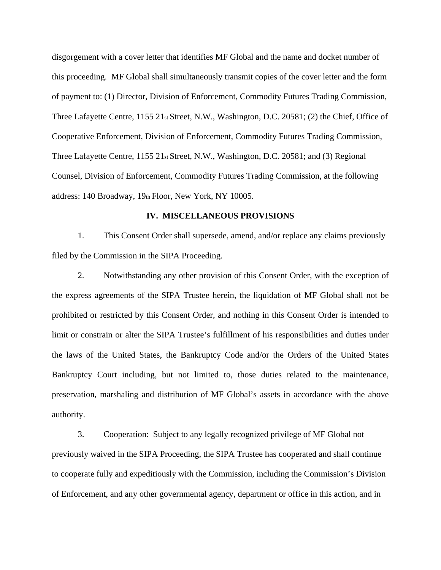disgorgement with a cover letter that identifies MF Global and the name and docket number of this proceeding. MF Global shall simultaneously transmit copies of the cover letter and the form of payment to: (1) Director, Division of Enforcement, Commodity Futures Trading Commission, Three Lafayette Centre, 1155 21st Street, N.W., Washington, D.C. 20581; (2) the Chief, Office of Cooperative Enforcement, Division of Enforcement, Commodity Futures Trading Commission, Three Lafayette Centre, 1155 21<sub>st</sub> Street, N.W., Washington, D.C. 20581; and (3) Regional Counsel, Division of Enforcement, Commodity Futures Trading Commission, at the following address: 140 Broadway, 19th Floor, New York, NY 10005.

#### **IV. MISCELLANEOUS PROVISIONS**

1. This Consent Order shall supersede, amend, and/or replace any claims previously filed by the Commission in the SIPA Proceeding.

2. Notwithstanding any other provision of this Consent Order, with the exception of the express agreements of the SIPA Trustee herein, the liquidation of MF Global shall not be prohibited or restricted by this Consent Order, and nothing in this Consent Order is intended to limit or constrain or alter the SIPA Trustee's fulfillment of his responsibilities and duties under the laws of the United States, the Bankruptcy Code and/or the Orders of the United States Bankruptcy Court including, but not limited to, those duties related to the maintenance, preservation, marshaling and distribution of MF Global's assets in accordance with the above authority.

3. Cooperation: Subject to any legally recognized privilege of MF Global not previously waived in the SIPA Proceeding, the SIPA Trustee has cooperated and shall continue to cooperate fully and expeditiously with the Commission, including the Commission's Division of Enforcement, and any other governmental agency, department or office in this action, and in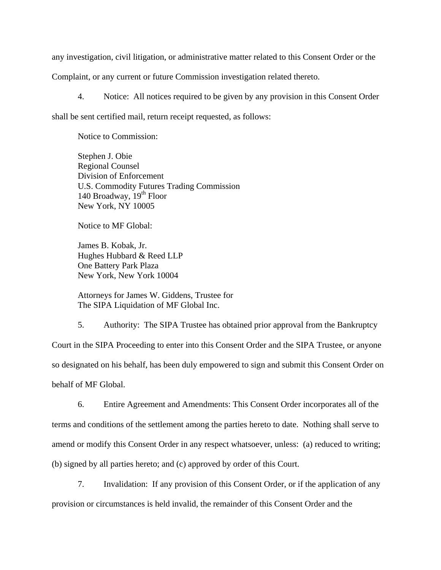any investigation, civil litigation, or administrative matter related to this Consent Order or the Complaint, or any current or future Commission investigation related thereto.

4. Notice: All notices required to be given by any provision in this Consent Order shall be sent certified mail, return receipt requested, as follows:

Notice to Commission:

Stephen J. Obie Regional Counsel Division of Enforcement U.S. Commodity Futures Trading Commission 140 Broadway,  $19<sup>th</sup>$  Floor New York, NY 10005

Notice to MF Global:

James B. Kobak, Jr. Hughes Hubbard & Reed LLP One Battery Park Plaza New York, New York 10004

Attorneys for James W. Giddens, Trustee for The SIPA Liquidation of MF Global Inc.

5. Authority: The SIPA Trustee has obtained prior approval from the Bankruptcy Court in the SIPA Proceeding to enter into this Consent Order and the SIPA Trustee, or anyone so designated on his behalf, has been duly empowered to sign and submit this Consent Order on behalf of MF Global.

6. Entire Agreement and Amendments: This Consent Order incorporates all of the terms and conditions of the settlement among the parties hereto to date. Nothing shall serve to amend or modify this Consent Order in any respect whatsoever, unless: (a) reduced to writing; (b) signed by all parties hereto; and (c) approved by order of this Court.

7. Invalidation: If any provision of this Consent Order, or if the application of any provision or circumstances is held invalid, the remainder of this Consent Order and the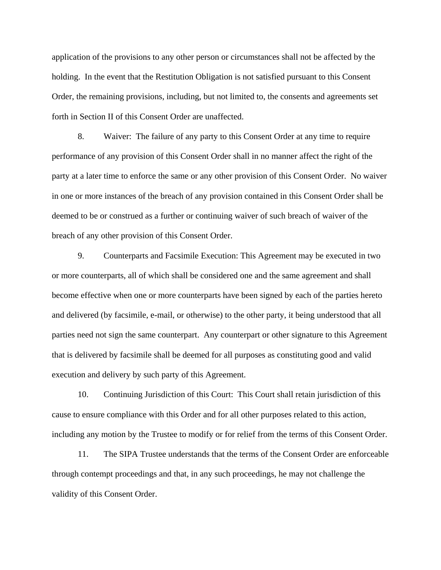application of the provisions to any other person or circumstances shall not be affected by the holding. In the event that the Restitution Obligation is not satisfied pursuant to this Consent Order, the remaining provisions, including, but not limited to, the consents and agreements set forth in Section II of this Consent Order are unaffected.

8. Waiver: The failure of any party to this Consent Order at any time to require performance of any provision of this Consent Order shall in no manner affect the right of the party at a later time to enforce the same or any other provision of this Consent Order. No waiver in one or more instances of the breach of any provision contained in this Consent Order shall be deemed to be or construed as a further or continuing waiver of such breach of waiver of the breach of any other provision of this Consent Order.

9. Counterparts and Facsimile Execution: This Agreement may be executed in two or more counterparts, all of which shall be considered one and the same agreement and shall become effective when one or more counterparts have been signed by each of the parties hereto and delivered (by facsimile, e-mail, or otherwise) to the other party, it being understood that all parties need not sign the same counterpart. Any counterpart or other signature to this Agreement that is delivered by facsimile shall be deemed for all purposes as constituting good and valid execution and delivery by such party of this Agreement.

10. Continuing Jurisdiction of this Court: This Court shall retain jurisdiction of this cause to ensure compliance with this Order and for all other purposes related to this action, including any motion by the Trustee to modify or for relief from the terms of this Consent Order.

11. The SIPA Trustee understands that the terms of the Consent Order are enforceable through contempt proceedings and that, in any such proceedings, he may not challenge the validity of this Consent Order.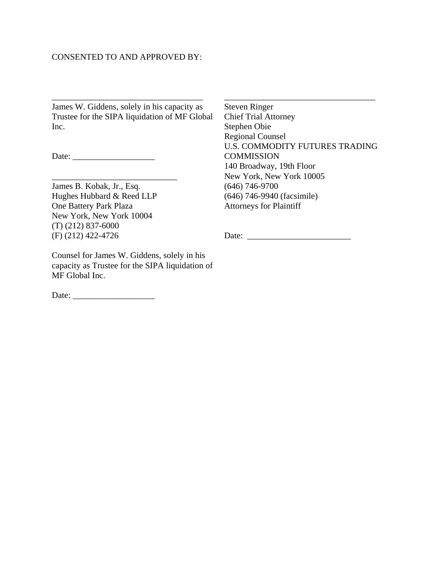### CONSENTED TO AND APPROVED BY:

\_\_\_\_\_\_\_\_\_\_\_\_\_\_\_\_\_\_\_\_\_\_\_\_\_\_\_\_\_\_\_\_\_\_\_ James W. Giddens, solely in his capacity as Trustee for the SIPA liquidation of MF Global Inc.

 $\overline{\phantom{a}}$  , and the set of the set of the set of the set of the set of the set of the set of the set of the set of the set of the set of the set of the set of the set of the set of the set of the set of the set of the s

Date: \_\_\_\_\_\_\_\_\_\_\_\_\_\_\_\_\_\_\_

James B. Kobak, Jr., Esq. Hughes Hubbard & Reed LLP One Battery Park Plaza New York, New York 10004 (T) (212) 837-6000 (F) (212) 422-4726

Counsel for James W. Giddens, solely in his capacity as Trustee for the SIPA liquidation of MF Global Inc.

Date: \_\_\_\_\_\_\_\_\_\_\_\_\_\_\_\_\_\_\_

Steven Ringer Chief Trial Attorney Stephen Obie Regional Counsel U.S. COMMODITY FUTURES TRADING **COMMISSION** 140 Broadway, 19th Floor New York, New York 10005 (646) 746-9700 (646) 746-9940 (facsimile) Attorneys for Plaintiff

 $\_$ 

Date: \_\_\_\_\_\_\_\_\_\_\_\_\_\_\_\_\_\_\_\_\_\_\_\_